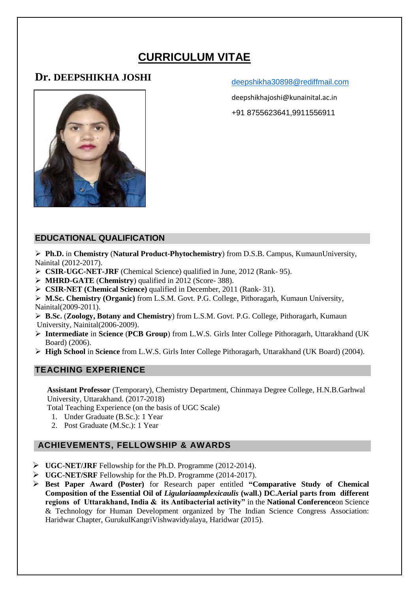# **CURRICULUM VITAE**

## **Dr. DEEPSHIKHA JOSHI**

[deepshikha30898@rediffmail.com](mailto:deepshikha30898@rediffmail.com)

deepshikhajoshi@kunainital.ac.in +91 8755623641,9911556911



## **EDUCATIONAL QUALIFICATION**

 **Ph.D.** in **Chemistry** (**Natural Product-Phytochemistry**) from D.S.B. Campus, KumaunUniversity, Nainital (2012**-**2017).

- **CSIR-UGC-NET-JRF** (Chemical Science) qualified in June, 2012 (Rank- 95).
- **MHRD-GATE** (**Chemistry**) qualified in 2012 (Score- 388).
- **CSIR-NET (Chemical Science)** qualified in December, 2011 (Rank- 31).

 **M.Sc. Chemistry (Organic)** from L.S.M. Govt. P.G. College, Pithoragarh, Kumaun University, Nainital(2009-2011).

- **B.Sc.** (**Zoology, Botany and Chemistry**) from L.S.M. Govt. P.G. College, Pithoragarh, Kumaun University, Nainital(2006-2009).
- **Intermediate** in **Science** (**PCB Group**) from L.W.S. Girls Inter College Pithoragarh, Uttarakhand (UK Board) (2006).
- **High School** in **Science** from L.W.S. Girls Inter College Pithoragarh, Uttarakhand (UK Board) (2004).

## **TEACHING EXPERIENCE**

 **Assistant Professor** (Temporary), Chemistry Department, Chinmaya Degree College, H.N.B.Garhwal University, Uttarakhand. (2017-2018)

Total Teaching Experience (on the basis of UGC Scale)

- 1. Under Graduate (B.Sc.): 1 Year
- 2. Post Graduate (M.Sc.): 1 Year

## **ACHIEVEMENTS, FELLOWSHIP & AWARDS**

- **UGC-NET/JRF** Fellowship for the Ph.D. Programme (2012-2014).
- **UGC-NET/SRF** Fellowship for the Ph.D. Programme (2014-2017).
- **Best Paper Award (Poster)** for Research paper entitled **"Comparative Study of Chemical Composition of the Essential Oil of** *Ligulariaamplexicaulis* **(wall.) DC.Aerial parts from different regions of Uttarakhand, India & its Antibacterial activity"** in the **National Conference**on Science & Technology for Human Development organized by The Indian Science Congress Association: Haridwar Chapter, GurukulKangriVishwavidyalaya, Haridwar (2015).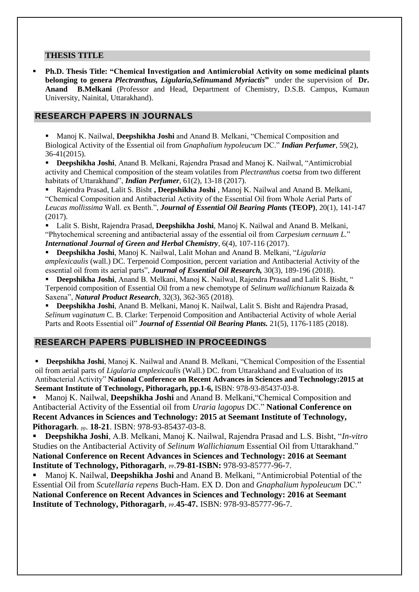#### **THESIS TITLE**

 **Ph.D. Thesis Title: "Chemical Investigation and Antimicrobial Activity on some medicinal plants belonging to genera** *Plectranthus, Ligularia,Selinum***and** *Myriactis***"** under the supervision of **Dr. Anand B.Melkani** (Professor and Head, Department of Chemistry, D.S.B. Campus, Kumaun University, Nainital, Uttarakhand).

### **RESEARCH PAPERS IN JOURNALS**

Manoj K. Nailwal, **Deepshikha Joshi** and Anand B. Melkani, "Chemical Composition and Biological Activity of the Essential oil from *Gnaphalium hypoleucum* DC." *Indian Perfumer*, 59(2), 36-41(2015).

**Deepshikha Joshi**, Anand B. Melkani, Rajendra Prasad and Manoj K. Nailwal, "Antimicrobial activity and Chemical composition of the steam volatiles from *Plectranthus coetsa* from two different habitats of Uttarakhand", *Indian Perfumer,* 61(2), 13-18 (2017).

Rajendra Prasad, Lalit S. Bisht **, Deepshikha Joshi** , Manoj K. Nailwal and Anand B. Melkani, "Chemical Composition and Antibacterial Activity of the Essential Oil from Whole Aerial Parts of *Leucas mollissima* Wall. ex Benth.", *Journal of Essential Oil Bearing Plants* **(TEOP)**, 20(1), 141-147 (2017).

Lalit S. Bisht, Rajendra Prasad, **Deepshikha Joshi**, Manoj K. Nailwal and Anand B. Melkani, "Phytochemical screening and antibacterial assay of the essential oil from *Carpesium cernuum L.*" *International Journal of Green and Herbal Chemistry*, 6(4), 107-116 (2017).

**Deepshikha Joshi**, Manoj K. Nailwal, Lalit Mohan and Anand B. Melkani, "*Ligularia amplexicaulis* (wall.) DC. Terpenoid Composition, percent variation and Antibacterial Activity of the essential oil from its aerial parts", *Journal of Essential Oil Research,* 30(3), 189-196 (2018).

**Deepshikha Joshi**, Anand B. Melkani, Manoj K. Nailwal, Rajendra Prasad and Lalit S. Bisht, " Terpenoid composition of Essential Oil from a new chemotype of *Selinum wallichianum* Raizada & Saxena", *Natural Product Research*, 32(3), 362-365 (2018).

**Deepshikha Joshi**, Anand B. Melkani, Manoj K. Nailwal, Lalit S. Bisht and Rajendra Prasad, *Selinum vaginatum* C. B. Clarke: Terpenoid Composition and Antibacterial Activity of whole Aerial Parts and Roots Essential oil" *Journal of Essential Oil Bearing Plants.* 21(5), 1176-1185 (2018).

#### **RESEARCH PAPERS PUBLISHED IN PROCEEDINGS**

**Deepshikha Joshi**, Manoj K. Nailwal and Anand B. Melkani, "Chemical Composition of the Essential oil from aerial parts of *Ligularia amplexicaulis* (Wall.) DC. from Uttarakhand and Evaluation of its Antibacterial Activity" **National Conference on Recent Advances in Sciences and Technology:2015 at Seemant Institute of Technology, Pithoragarh, pp.1-6,** ISBN: 978-93-85437-03-8.

 Manoj K. Nailwal, **Deepshikha Joshi** and Anand B. Melkani,"Chemical Composition and Antibacterial Activity of the Essential oil from *Uraria lagopus* DC." **National Conference on Recent Advances in Sciences and Technology: 2015 at Seemant Institute of Technology, Pithoragarh**. pp. **18-21**. ISBN: 978-93-85437-03-8.

 **Deepshikha Joshi**, A.B. Melkani, Manoj K. Nailwal, Rajendra Prasad and L.S. Bisht, "*In-vitro* Studies on the Antibacterial Activity of *Selinum Wallichianum* Essential Oil from Uttarakhand." **National Conference on Recent Advances in Sciences and Technology: 2016 at Seemant Institute of Technology, Pithoragarh, PP.79-81-ISBN: 978-93-85777-96-7.** 

 Manoj K. Nailwal, **Deepshikha Joshi** and Anand B. Melkani, "Antimicrobial Potential of the Essential Oil from *Scutellaria repens* Buch-Ham. EX D. Don and *Gnaphalium hypoleucum* DC." **National Conference on Recent Advances in Sciences and Technology: 2016 at Seemant Institute of Technology, Pithoragarh, PP.45-47, ISBN: 978-93-85777-96-7.**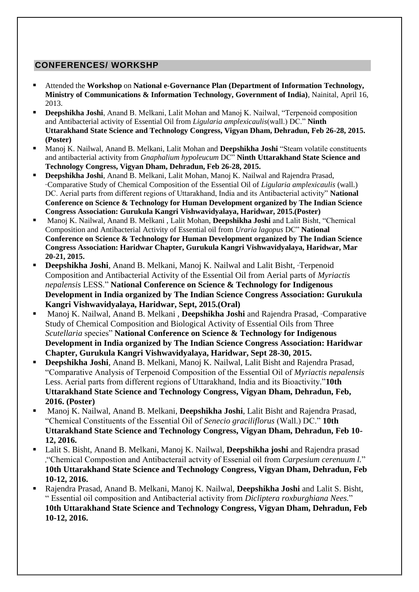## **CONFERENCES/ WORKSHP**

- Attended the **Workshop** on **National e-Governance Plan (Department of Information Technology, Ministry of Communications & Information Technology, Government of India)**, Nainital, April 16, 2013.
- **Deepshikha Joshi**, Anand B. Melkani, Lalit Mohan and Manoj K. Nailwal, "Terpenoid composition and Antibacterial activity of Essential Oil from *Ligularia amplexicaulis*(wall.) DC." **Ninth Uttarakhand State Science and Technology Congress, Vigyan Dham, Dehradun, Feb 26-28, 2015. (Poster)**
- Manoj K. Nailwal, Anand B. Melkani, Lalit Mohan and **Deepshikha Joshi** "Steam volatile constituents and antibacterial activity from *Gnaphalium hypoleucum* DC" **Ninth Uttarakhand State Science and Technology Congress, Vigyan Dham, Dehradun, Feb 26-28, 2015.**
- **Deepshikha Joshi**, Anand B. Melkani, Lalit Mohan, Manoj K. Nailwal and Rajendra Prasad, "Comparative Study of Chemical Composition of the Essential Oil of *Ligularia amplexicaulis* (wall.) DC. Aerial parts from different regions of Uttarakhand, India and its Antibacterial activity" **National Conference on Science & Technology for Human Development organized by The Indian Science Congress Association: Gurukula Kangri Vishwavidyalaya, Haridwar, 2015.(Poster)**
- Manoj K. Nailwal, Anand B. Melkani , Lalit Mohan, **Deepshikha Joshi** and Lalit Bisht, "Chemical Composition and Antibacterial Activity of Essential oil from *Uraria lagopus* DC" **National Conference on Science & Technology for Human Development organized by The Indian Science Congress Association: Haridwar Chapter, Gurukula Kangri Vishwavidyalaya, Haridwar, Mar 20-21, 2015.**
- **Deepshikha Joshi**, Anand B. Melkani, Manoj K. Nailwal and Lalit Bisht, "Terpenoid Composition and Antibacterial Activity of the Essential Oil from Aerial parts of *Myriactis nepalensis* LESS." **National Conference on Science & Technology for Indigenous Development in India organized by The Indian Science Congress Association: Gurukula Kangri Vishwavidyalaya, Haridwar, Sept, 2015.(Oral)**
- Manoj K. Nailwal, Anand B. Melkani , **Deepshikha Joshi** and Rajendra Prasad, "Comparative Study of Chemical Composition and Biological Activity of Essential Oils from Three *Scutellaria* species" **National Conference on Science & Technology for Indigenous Development in India organized by The Indian Science Congress Association: Haridwar Chapter, Gurukula Kangri Vishwavidyalaya, Haridwar, Sept 28-30, 2015.**
- **Deepshikha Joshi**, Anand B. Melkani, Manoj K. Nailwal, Lalit Bisht and Rajendra Prasad, "Comparative Analysis of Terpenoid Composition of the Essential Oil of *Myriactis nepalensis*  Less. Aerial parts from different regions of Uttarakhand, India and its Bioactivity."**10th Uttarakhand State Science and Technology Congress, Vigyan Dham, Dehradun, Feb, 2016. (Poster)**
- Manoj K. Nailwal, Anand B. Melkani, **Deepshikha Joshi**, Lalit Bisht and Rajendra Prasad, "Chemical Constituents of the Essential Oil of *Senecio graciliflorus* (Wall.) DC." **10th Uttarakhand State Science and Technology Congress, Vigyan Dham, Dehradun, Feb 10- 12, 2016.**
- Lalit S. Bisht, Anand B. Melkani, Manoj K. Nailwal, **Deepshikha joshi** and Rajendra prasad **,**"Chemical Compostion and Antibacterail actvity of Essenial oil from *Carpesium cerenuum l.*" **10th Uttarakhand State Science and Technology Congress, Vigyan Dham, Dehradun, Feb 10-12, 2016.**
- Rajendra Prasad, Anand B. Melkani, Manoj K. Nailwal, **Deepshikha Joshi** and Lalit S. Bisht, " Essential oil composition and Antibacterial activity from *Dicliptera roxburghiana Nees.*" **10th Uttarakhand State Science and Technology Congress, Vigyan Dham, Dehradun, Feb 10-12, 2016.**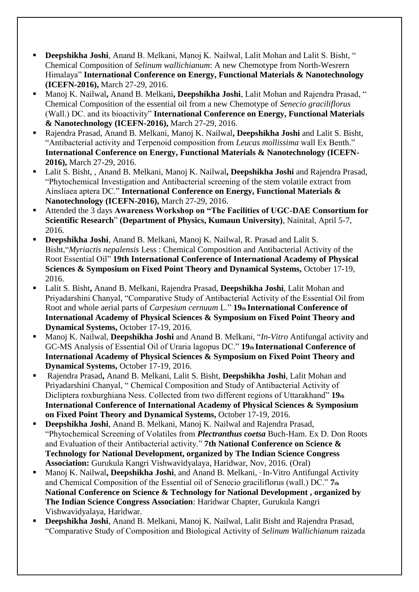- **Deepshikha Joshi**, Anand B. Melkani, Manoj K. Nailwal, Lalit Mohan and Lalit S. Bisht, " Chemical Composition of *Selinum wallichianum*: A new Chemotype from North-Wesrern Himalaya" **International Conference on Energy, Functional Materials & Nanotechnology (ICEFN-2016),** March 27-29, 2016.
- Manoj K. Nailwal**,** Anand B. Melkani**, Deepshikha Joshi**, Lalit Mohan and Rajendra Prasad, " Chemical Composition of the essential oil from a new Chemotype of *Senecio graciliflorus*  (Wall.) DC. and its bioactivity" **International Conference on Energy, Functional Materials & Nanotechnology (ICEFN-2016),** March 27-29, 2016.
- Rajendra Prasad, Anand B. Melkani, Manoj K. Nailwal**, Deepshikha Joshi** and Lalit S. Bisht, "Antibacterial activity and Terpenoid composition from *Leucas mollissima* wall Ex Benth." **International Conference on Energy, Functional Materials & Nanotechnology (ICEFN-2016),** March 27-29, 2016.
- Lalit S. Bisht, , Anand B. Melkani, Manoj K. Nailwal**, Deepshikha Joshi** and Rajendra Prasad, "Phytochemical Investigation and Antibacterial screening of the stem volatile extract from Ainsliaea aptera DC." **International Conference on Energy, Functional Materials & Nanotechnology (ICEFN-2016),** March 27-29, 2016.
- Attended the 3 days **Awareness Workshop on "The Facilities of UGC-DAE Consortium for Scientific Research**" **(Department of Physics, Kumaun University)**, Nainital, April 5-7, 2016.
- **Deepshikha Joshi**, Anand B. Melkani, Manoj K. Nailwal, R. Prasad and Lalit S. Bisht,"*Myriactis nepalensis* Less : Chemical Composition and Antibacterial Activity of the Root Essential Oil" **19th International Conference of International Academy of Physical Sciences & Symposium on Fixed Point Theory and Dynamical Systems,** October 17-19, 2016.
- Lalit S. Bisht**,** Anand B. Melkani, Rajendra Prasad, **Deepshikha Joshi**, Lalit Mohan and Priyadarshini Chanyal, "Comparative Study of Antibacterial Activity of the Essential Oil from Root and whole aerial parts of *Carpesium cernuum* L." **19th International Conference of International Academy of Physical Sciences & Symposium on Fixed Point Theory and Dynamical Systems,** October 17-19, 2016.
- Manoj K. Nailwal, **Deepshikha Joshi** and Anand B. Melkani, "*In-Vitro* Antifungal activity and GC-MS Analysis of Essential Oil of Uraria lagopus DC." **19th International Conference of International Academy of Physical Sciences & Symposium on Fixed Point Theory and Dynamical Systems,** October 17-19, 2016.
- Rajendra Prasad**,** Anand B. Melkani, Lalit S. Bisht, **Deepshikha Joshi**, Lalit Mohan and Priyadarshini Chanyal, " Chemical Composition and Study of Antibacterial Activity of Dicliptera roxburghiana Ness. Collected from two different regions of Uttarakhand" **19th International Conference of International Academy of Physical Sciences & Symposium on Fixed Point Theory and Dynamical Systems,** October 17-19, 2016.
- **Deepshikha Joshi**, Anand B. Melkani, Manoj K. Nailwal and Rajendra Prasad, "Phytochemical Screening of Volatiles from *Plectranthus coetsa* Buch-Ham. Ex D. Don Roots and Evaluation of their Antibacterial activity." **7th National Conference on Science & Technology for National Development, organized by The Indian Science Congress Association:** Gurukula Kangri Vishwavidyalaya, Haridwar, Nov, 2016. (Oral)
- Manoj K. Nailwal**, Deepshikha Joshi**, and Anand B. Melkani, " In-Vitro Antifungal Activity and Chemical Composition of the Essential oil of Senecio graciliflorus (wall.) DC." **7th National Conference on Science & Technology for National Development , organized by The Indian Science Congress Association**: Haridwar Chapter, Gurukula Kangri Vishwavidyalaya, Haridwar.
- **Deepshikha Joshi**, Anand B. Melkani, Manoj K. Nailwal, Lalit Bisht and Rajendra Prasad, "Comparative Study of Composition and Biological Activity of *Selinum Wallichianum* raizada